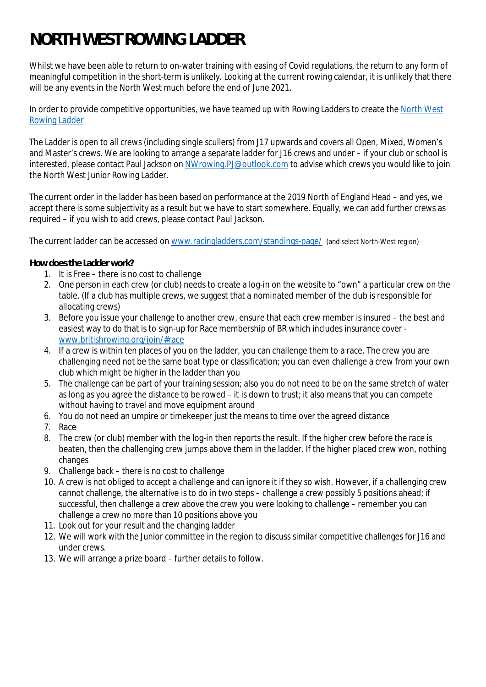## **NORTH WEST ROWING LADDER**

Whilst we have been able to return to on-water training with easing of Covid regulations, the return to any form of meaningful competition in the short-term is unlikely. Looking at the current rowing calendar, it is unlikely that there will be any events in the North West much before the end of June 2021.

In order to provide competitive opportunities, we have teamed up with Rowing Ladders to create the North West Rowing Ladder

The Ladder is open to all crews (including single scullers) from J17 upwards and covers all Open, Mixed, Women's and Master's crews. We are looking to arrange a separate ladder for J16 crews and under – if your club or school is interested, please contact Paul Jackson on NWrowing.PJ@outlook.com to advise which crews you would like to join the North West Junior Rowing Ladder.

The current order in the ladder has been based on performance at the 2019 North of England Head – and yes, we accept there is some subjectivity as a result but we have to start somewhere. Equally, we can add further crews as required – if you wish to add crews, please contact Paul Jackson.

The current ladder can be accessed on www.racingladders.com/standings-page/ (and select North-West region)

**How does the Ladder work?**

- 1. It is Free there is no cost to challenge
- 2. One person in each crew (or club) needs to create a log-in on the website to "own" a particular crew on the table. (If a club has multiple crews, we suggest that a nominated member of the club is responsible for allocating crews)
- 3. Before you issue your challenge to another crew, ensure that each crew member is insured the best and easiest way to do that is to sign-up for Race membership of BR which includes insurance cover www.britishrowing.org/join/#race
- 4. If a crew is within ten places of you on the ladder, you can challenge them to a race. The crew you are challenging need not be the same boat type or classification; you can even challenge a crew from your own club which might be higher in the ladder than you
- 5. The challenge can be part of your training session; also you do not need to be on the same stretch of water as long as you agree the distance to be rowed – it is down to trust; it also means that you can compete without having to travel and move equipment around
- 6. You do not need an umpire or timekeeper just the means to time over the agreed distance
- 7. Race
- 8. The crew (or club) member with the log-in then reports the result. If the higher crew before the race is beaten, then the challenging crew jumps above them in the ladder. If the higher placed crew won, nothing changes
- 9. Challenge back there is no cost to challenge
- 10. A crew is not obliged to accept a challenge and can ignore it if they so wish. However, if a challenging crew cannot challenge, the alternative is to do in two steps – challenge a crew possibly 5 positions ahead; if successful, then challenge a crew above the crew you were looking to challenge – remember you can challenge a crew no more than 10 positions above you
- 11. Look out for your result and the changing ladder
- 12. We will work with the Junior committee in the region to discuss similar competitive challenges for J16 and under crews.
- 13. We will arrange a prize board further details to follow.